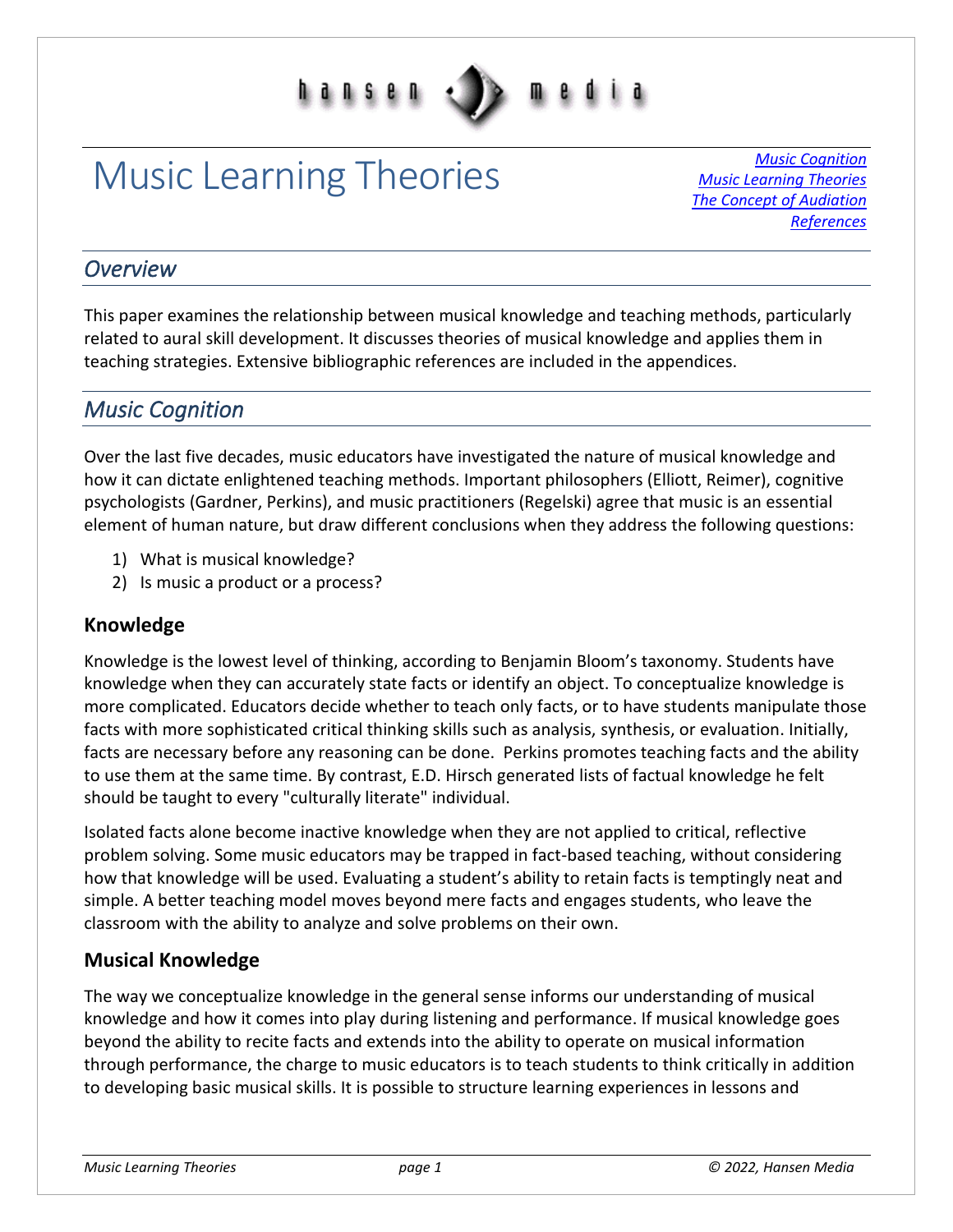

# Music Learning Theories *Music [Cognition](#page-0-0)*

*[Music Learning Theories](#page-2-0) [The Concept of Audiation](#page-4-0) [References](#page-7-0)*

#### *Overview*

This paper examines the relationship between musical knowledge and teaching methods, particularly related to aural skill development. It discusses theories of musical knowledge and applies them in teaching strategies. Extensive bibliographic references are included in the appendices.

### <span id="page-0-0"></span>*Music Cognition*

Over the last five decades, music educators have investigated the nature of musical knowledge and how it can dictate enlightened teaching methods. Important philosophers (Elliott, Reimer), cognitive psychologists (Gardner, Perkins), and music practitioners (Regelski) agree that music is an essential element of human nature, but draw different conclusions when they address the following questions:

- 1) What is musical knowledge?
- 2) Is music a product or a process?

#### **Knowledge**

Knowledge is the lowest level of thinking, according to Benjamin Bloom's taxonomy. Students have knowledge when they can accurately state facts or identify an object. To conceptualize knowledge is more complicated. Educators decide whether to teach only facts, or to have students manipulate those facts with more sophisticated critical thinking skills such as analysis, synthesis, or evaluation. Initially, facts are necessary before any reasoning can be done. Perkins promotes teaching facts and the ability to use them at the same time. By contrast, E.D. Hirsch generated lists of factual knowledge he felt should be taught to every "culturally literate" individual.

Isolated facts alone become inactive knowledge when they are not applied to critical, reflective problem solving. Some music educators may be trapped in fact-based teaching, without considering how that knowledge will be used. Evaluating a student's ability to retain facts is temptingly neat and simple. A better teaching model moves beyond mere facts and engages students, who leave the classroom with the ability to analyze and solve problems on their own.

#### **Musical Knowledge**

The way we conceptualize knowledge in the general sense informs our understanding of musical knowledge and how it comes into play during listening and performance. If musical knowledge goes beyond the ability to recite facts and extends into the ability to operate on musical information through performance, the charge to music educators is to teach students to think critically in addition to developing basic musical skills. It is possible to structure learning experiences in lessons and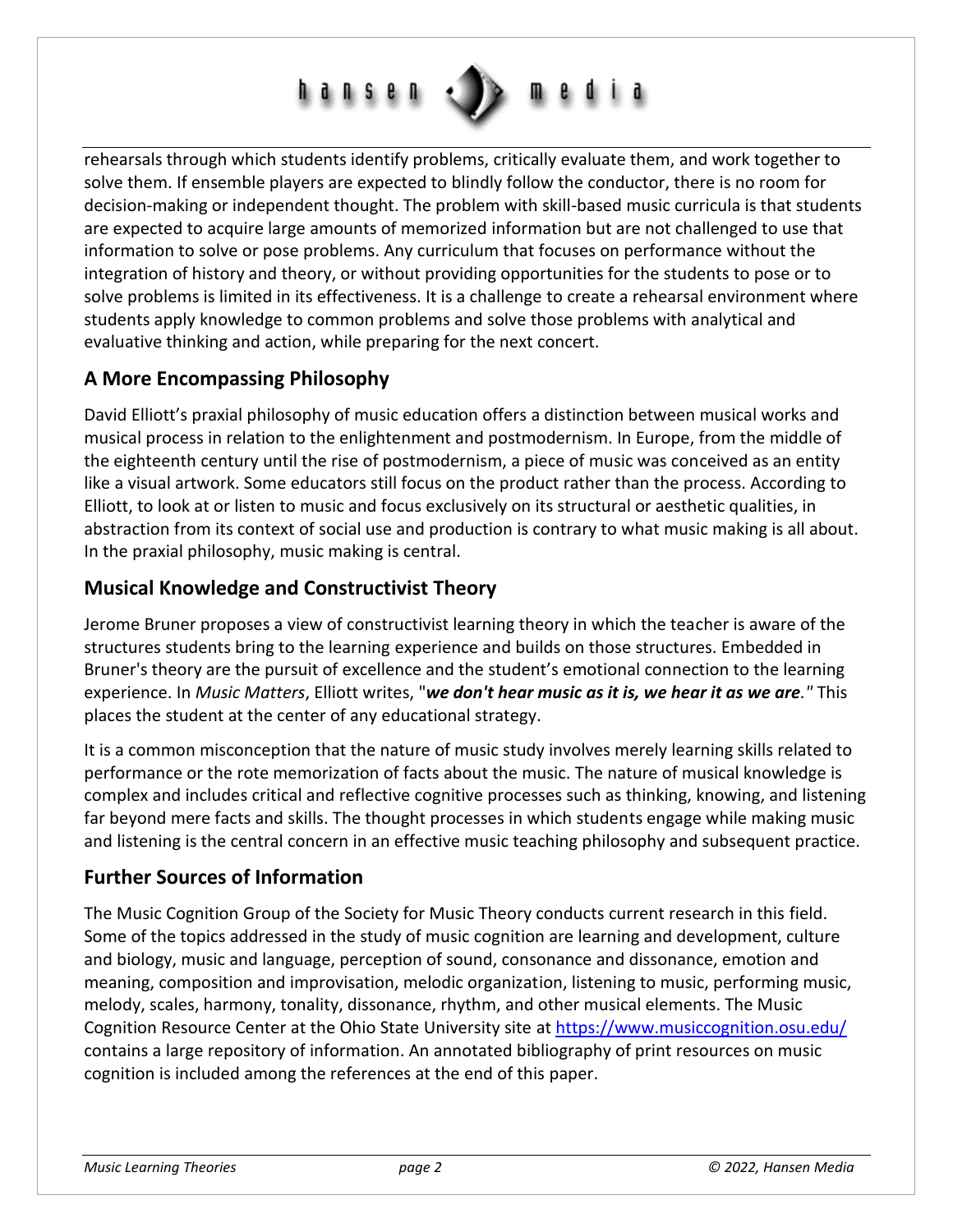

rehearsals through which students identify problems, critically evaluate them, and work together to solve them. If ensemble players are expected to blindly follow the conductor, there is no room for decision-making or independent thought. The problem with skill-based music curricula is that students are expected to acquire large amounts of memorized information but are not challenged to use that information to solve or pose problems. Any curriculum that focuses on performance without the integration of history and theory, or without providing opportunities for the students to pose or to solve problems is limited in its effectiveness. It is a challenge to create a rehearsal environment where students apply knowledge to common problems and solve those problems with analytical and evaluative thinking and action, while preparing for the next concert.

#### **A More Encompassing Philosophy**

David Elliott's praxial philosophy of music education offers a distinction between musical works and musical process in relation to the enlightenment and postmodernism. In Europe, from the middle of the eighteenth century until the rise of postmodernism, a piece of music was conceived as an entity like a visual artwork. Some educators still focus on the product rather than the process. According to Elliott, to look at or listen to music and focus exclusively on its structural or aesthetic qualities, in abstraction from its context of social use and production is contrary to what music making is all about. In the praxial philosophy, music making is central.

#### **Musical Knowledge and Constructivist Theory**

Jerome Bruner proposes a view of constructivist learning theory in which the teacher is aware of the structures students bring to the learning experience and builds on those structures. Embedded in Bruner's theory are the pursuit of excellence and the student's emotional connection to the learning experience. In *Music Matters*, Elliott writes, "*we don't hear music as it is, we hear it as we are."* This places the student at the center of any educational strategy.

It is a common misconception that the nature of music study involves merely learning skills related to performance or the rote memorization of facts about the music. The nature of musical knowledge is complex and includes critical and reflective cognitive processes such as thinking, knowing, and listening far beyond mere facts and skills. The thought processes in which students engage while making music and listening is the central concern in an effective music teaching philosophy and subsequent practice.

#### **Further Sources of Information**

The Music Cognition Group of the Society for Music Theory conducts current research in this field. Some of the topics addressed in the study of music cognition are learning and development, culture and biology, music and language, perception of sound, consonance and dissonance, emotion and meaning, composition and improvisation, melodic organization, listening to music, performing music, melody, scales, harmony, tonality, dissonance, rhythm, and other musical elements. The Music Cognition Resource Center at the Ohio State University site at<https://www.musiccognition.osu.edu/> contains a large repository of information. An annotated bibliography of print resources on music cognition is included among the references at the end of this paper.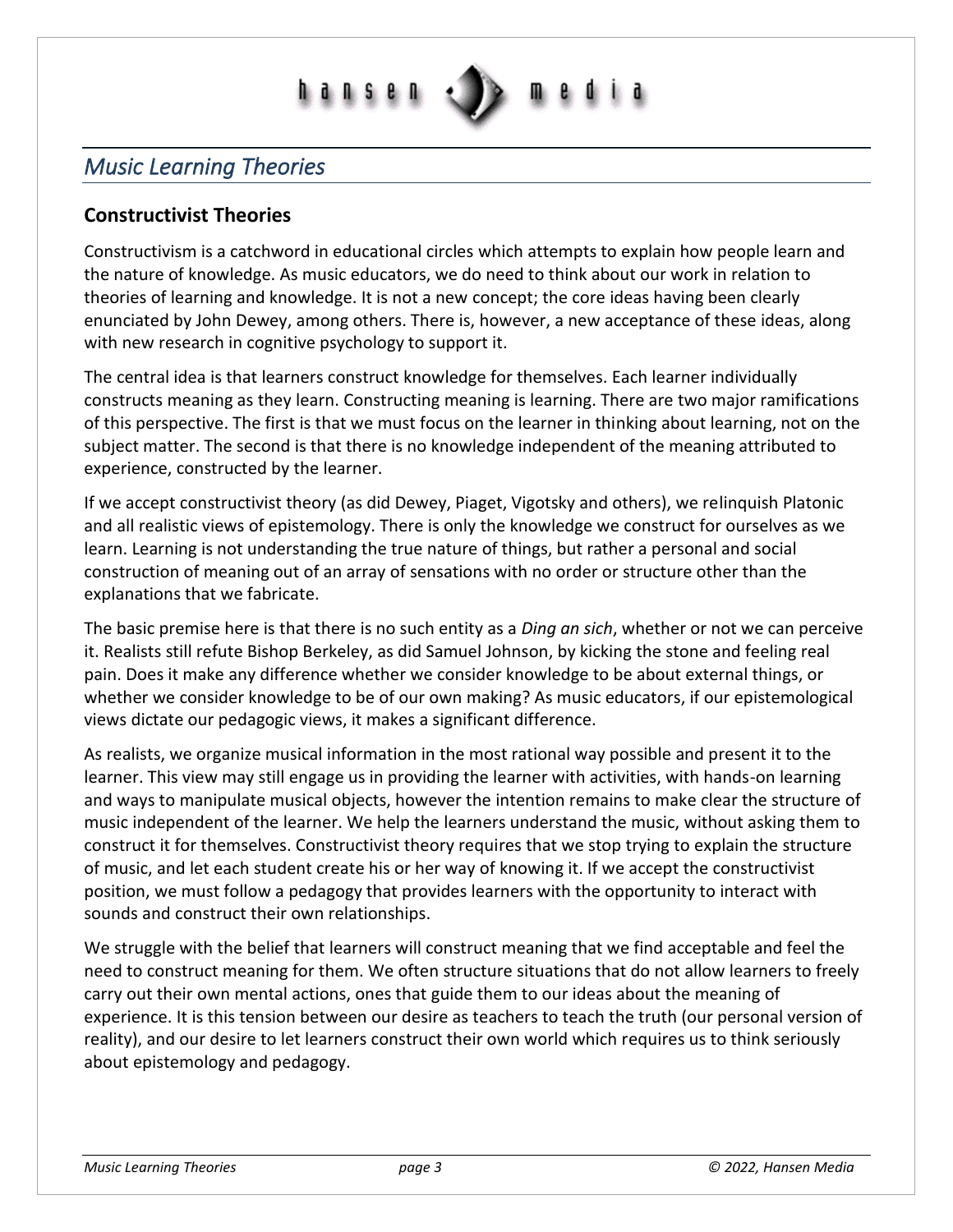# **ansen**

## <span id="page-2-0"></span>*Music Learning Theories*

#### **Constructivist Theories**

Constructivism is a catchword in educational circles which attempts to explain how people learn and the nature of knowledge. As music educators, we do need to think about our work in relation to theories of learning and knowledge. It is not a new concept; the core ideas having been clearly enunciated by John Dewey, among others. There is, however, a new acceptance of these ideas, along with new research in cognitive psychology to support it.

The central idea is that learners construct knowledge for themselves. Each learner individually constructs meaning as they learn. Constructing meaning is learning. There are two major ramifications of this perspective. The first is that we must focus on the learner in thinking about learning, not on the subject matter. The second is that there is no knowledge independent of the meaning attributed to experience, constructed by the learner.

If we accept constructivist theory (as did Dewey, Piaget, Vigotsky and others), we relinquish Platonic and all realistic views of epistemology. There is only the knowledge we construct for ourselves as we learn. Learning is not understanding the true nature of things, but rather a personal and social construction of meaning out of an array of sensations with no order or structure other than the explanations that we fabricate.

The basic premise here is that there is no such entity as a *Ding an sich*, whether or not we can perceive it. Realists still refute Bishop Berkeley, as did Samuel Johnson, by kicking the stone and feeling real pain. Does it make any difference whether we consider knowledge to be about external things, or whether we consider knowledge to be of our own making? As music educators, if our epistemological views dictate our pedagogic views, it makes a significant difference.

As realists, we organize musical information in the most rational way possible and present it to the learner. This view may still engage us in providing the learner with activities, with hands-on learning and ways to manipulate musical objects, however the intention remains to make clear the structure of music independent of the learner. We help the learners understand the music, without asking them to construct it for themselves. Constructivist theory requires that we stop trying to explain the structure of music, and let each student create his or her way of knowing it. If we accept the constructivist position, we must follow a pedagogy that provides learners with the opportunity to interact with sounds and construct their own relationships.

We struggle with the belief that learners will construct meaning that we find acceptable and feel the need to construct meaning for them. We often structure situations that do not allow learners to freely carry out their own mental actions, ones that guide them to our ideas about the meaning of experience. It is this tension between our desire as teachers to teach the truth (our personal version of reality), and our desire to let learners construct their own world which requires us to think seriously about epistemology and pedagogy.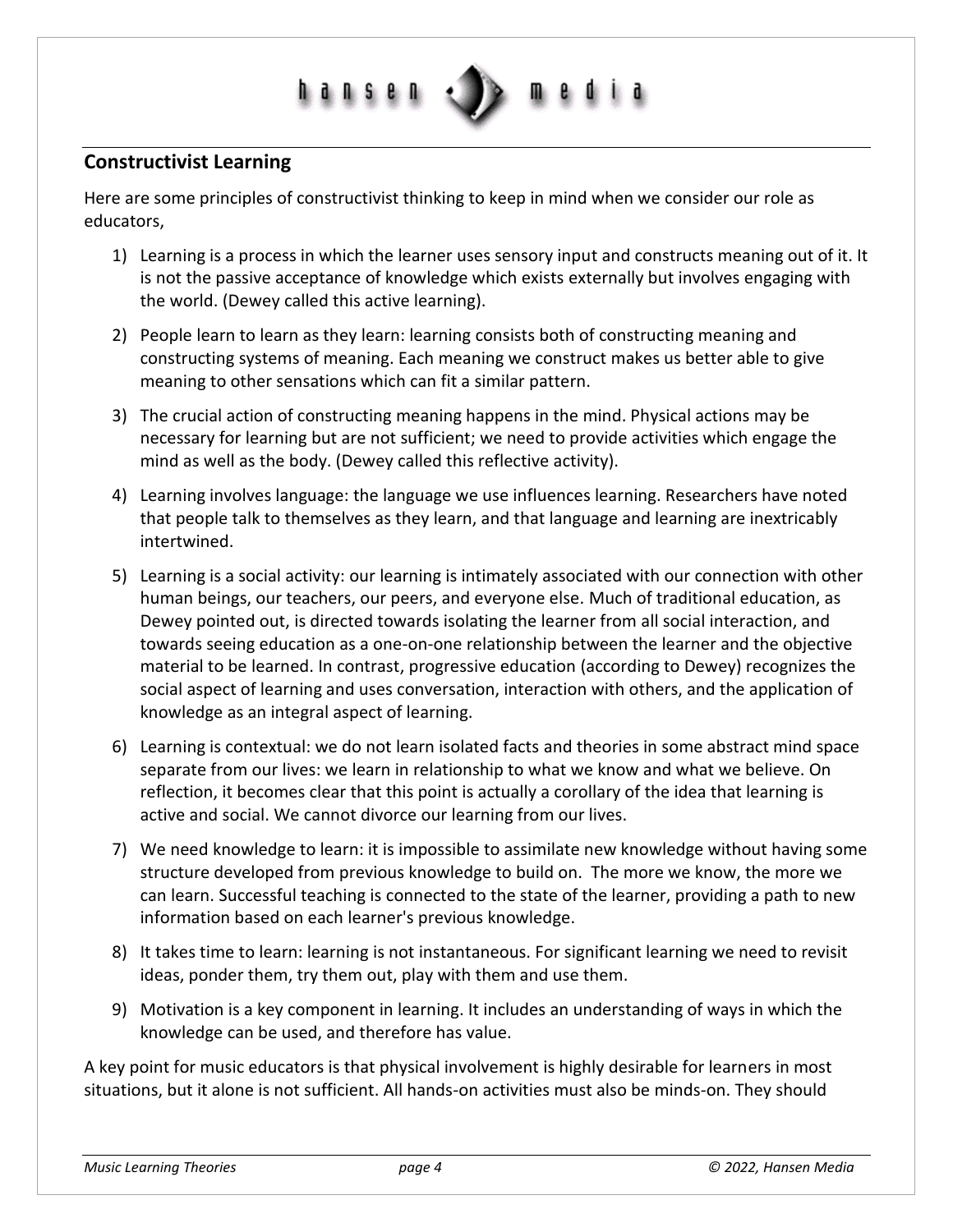

#### **Constructivist Learning**

Here are some principles of constructivist thinking to keep in mind when we consider our role as educators,

- 1) Learning is a process in which the learner uses sensory input and constructs meaning out of it. It is not the passive acceptance of knowledge which exists externally but involves engaging with the world. (Dewey called this active learning).
- 2) People learn to learn as they learn: learning consists both of constructing meaning and constructing systems of meaning. Each meaning we construct makes us better able to give meaning to other sensations which can fit a similar pattern.
- 3) The crucial action of constructing meaning happens in the mind. Physical actions may be necessary for learning but are not sufficient; we need to provide activities which engage the mind as well as the body. (Dewey called this reflective activity).
- 4) Learning involves language: the language we use influences learning. Researchers have noted that people talk to themselves as they learn, and that language and learning are inextricably intertwined.
- 5) Learning is a social activity: our learning is intimately associated with our connection with other human beings, our teachers, our peers, and everyone else. Much of traditional education, as Dewey pointed out, is directed towards isolating the learner from all social interaction, and towards seeing education as a one-on-one relationship between the learner and the objective material to be learned. In contrast, progressive education (according to Dewey) recognizes the social aspect of learning and uses conversation, interaction with others, and the application of knowledge as an integral aspect of learning.
- 6) Learning is contextual: we do not learn isolated facts and theories in some abstract mind space separate from our lives: we learn in relationship to what we know and what we believe. On reflection, it becomes clear that this point is actually a corollary of the idea that learning is active and social. We cannot divorce our learning from our lives.
- 7) We need knowledge to learn: it is impossible to assimilate new knowledge without having some structure developed from previous knowledge to build on. The more we know, the more we can learn. Successful teaching is connected to the state of the learner, providing a path to new information based on each learner's previous knowledge.
- 8) It takes time to learn: learning is not instantaneous. For significant learning we need to revisit ideas, ponder them, try them out, play with them and use them.
- 9) Motivation is a key component in learning. It includes an understanding of ways in which the knowledge can be used, and therefore has value.

A key point for music educators is that physical involvement is highly desirable for learners in most situations, but it alone is not sufficient. All hands-on activities must also be minds-on. They should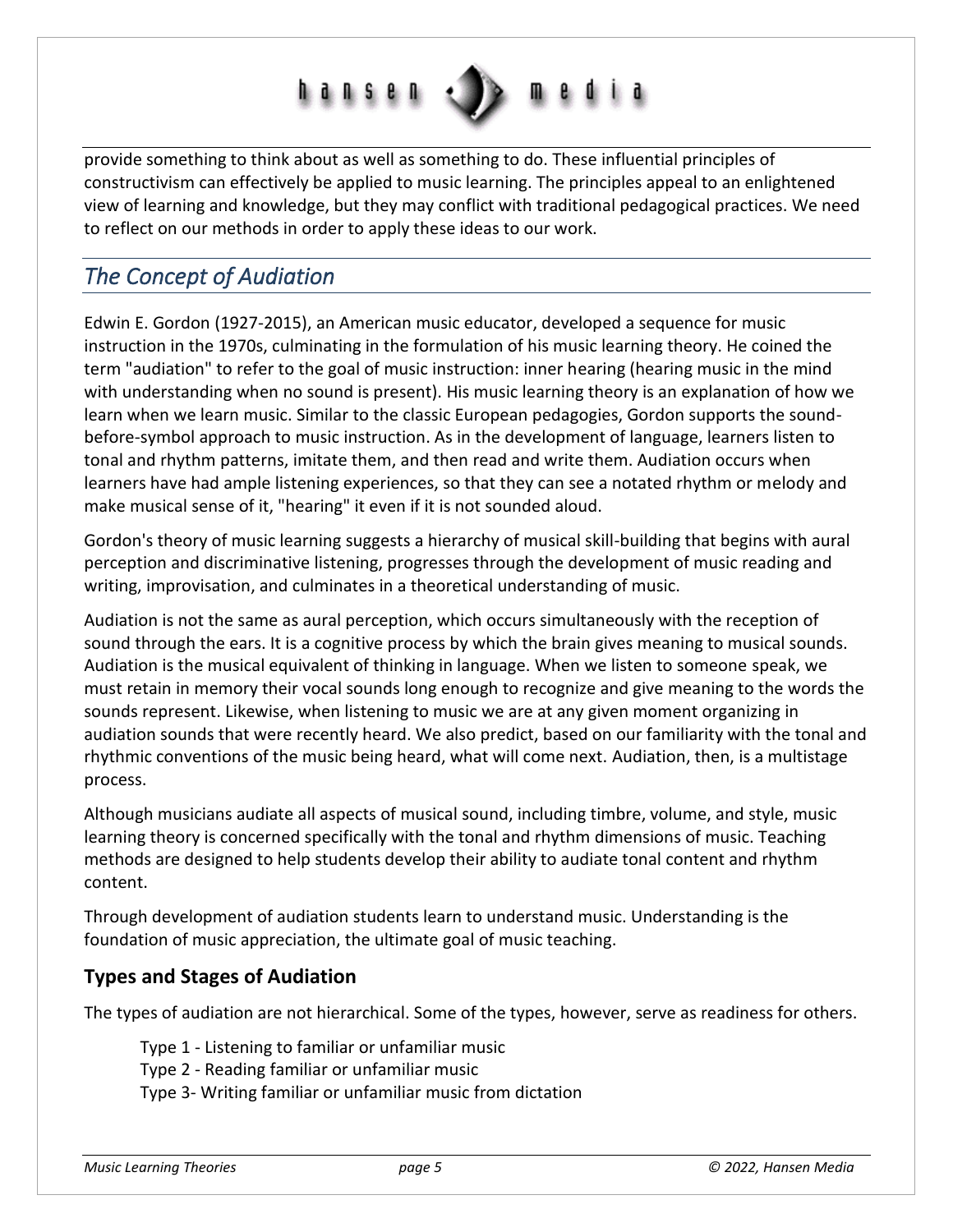

provide something to think about as well as something to do. These influential principles of constructivism can effectively be applied to music learning. The principles appeal to an enlightened view of learning and knowledge, but they may conflict with traditional pedagogical practices. We need to reflect on our methods in order to apply these ideas to our work.

# <span id="page-4-0"></span>*The Concept of Audiation*

Edwin E. Gordon (1927-2015), an American music educator, developed a sequence for music instruction in the 1970s, culminating in the formulation of his music learning theory. He coined the term "audiation" to refer to the goal of music instruction: inner hearing (hearing music in the mind with understanding when no sound is present). His music learning theory is an explanation of how we learn when we learn music. Similar to the classic European pedagogies, Gordon supports the soundbefore-symbol approach to music instruction. As in the development of language, learners listen to tonal and rhythm patterns, imitate them, and then read and write them. Audiation occurs when learners have had ample listening experiences, so that they can see a notated rhythm or melody and make musical sense of it, "hearing" it even if it is not sounded aloud.

Gordon's theory of music learning suggests a hierarchy of musical skill-building that begins with aural perception and discriminative listening, progresses through the development of music reading and writing, improvisation, and culminates in a theoretical understanding of music.

Audiation is not the same as aural perception, which occurs simultaneously with the reception of sound through the ears. It is a cognitive process by which the brain gives meaning to musical sounds. Audiation is the musical equivalent of thinking in language. When we listen to someone speak, we must retain in memory their vocal sounds long enough to recognize and give meaning to the words the sounds represent. Likewise, when listening to music we are at any given moment organizing in audiation sounds that were recently heard. We also predict, based on our familiarity with the tonal and rhythmic conventions of the music being heard, what will come next. Audiation, then, is a multistage process.

Although musicians audiate all aspects of musical sound, including timbre, volume, and style, music learning theory is concerned specifically with the tonal and rhythm dimensions of music. Teaching methods are designed to help students develop their ability to audiate tonal content and rhythm content.

Through development of audiation students learn to understand music. Understanding is the foundation of music appreciation, the ultimate goal of music teaching.

#### **Types and Stages of Audiation**

The types of audiation are not hierarchical. Some of the types, however, serve as readiness for others.

Type 1 - Listening to familiar or unfamiliar music

Type 2 - Reading familiar or unfamiliar music

Type 3- Writing familiar or unfamiliar music from dictation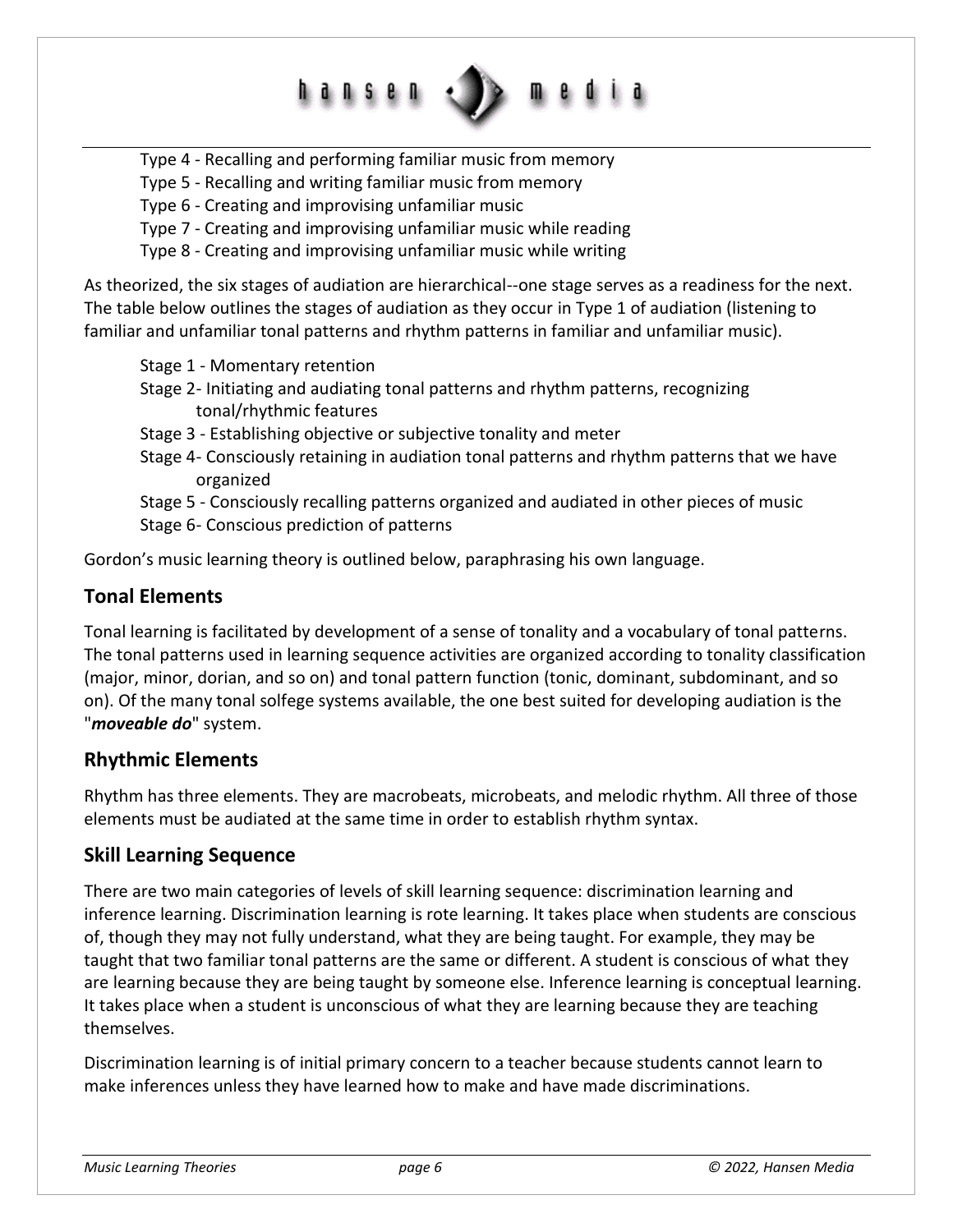Type 4 - Recalling and performing familiar music from memory

Type 5 - Recalling and writing familiar music from memory

hansen

Type 6 - Creating and improvising unfamiliar music

Type 7 - Creating and improvising unfamiliar music while reading

Type 8 - Creating and improvising unfamiliar music while writing

As theorized, the six stages of audiation are hierarchical--one stage serves as a readiness for the next. The table below outlines the stages of audiation as they occur in Type 1 of audiation (listening to familiar and unfamiliar tonal patterns and rhythm patterns in familiar and unfamiliar music).

Stage 1 - Momentary retention

- Stage 2- Initiating and audiating tonal patterns and rhythm patterns, recognizing tonal/rhythmic features
- Stage 3 Establishing objective or subjective tonality and meter
- Stage 4- Consciously retaining in audiation tonal patterns and rhythm patterns that we have organized

Stage 5 - Consciously recalling patterns organized and audiated in other pieces of music Stage 6- Conscious prediction of patterns

Gordon's music learning theory is outlined below, paraphrasing his own language.

#### **Tonal Elements**

Tonal learning is facilitated by development of a sense of tonality and a vocabulary of tonal patterns. The tonal patterns used in learning sequence activities are organized according to tonality classification (major, minor, dorian, and so on) and tonal pattern function (tonic, dominant, subdominant, and so on). Of the many tonal solfege systems available, the one best suited for developing audiation is the "*moveable do*" system.

#### **Rhythmic Elements**

Rhythm has three elements. They are macrobeats, microbeats, and melodic rhythm. All three of those elements must be audiated at the same time in order to establish rhythm syntax.

#### **Skill Learning Sequence**

There are two main categories of levels of skill learning sequence: discrimination learning and inference learning. Discrimination learning is rote learning. It takes place when students are conscious of, though they may not fully understand, what they are being taught. For example, they may be taught that two familiar tonal patterns are the same or different. A student is conscious of what they are learning because they are being taught by someone else. Inference learning is conceptual learning. It takes place when a student is unconscious of what they are learning because they are teaching themselves.

Discrimination learning is of initial primary concern to a teacher because students cannot learn to make inferences unless they have learned how to make and have made discriminations.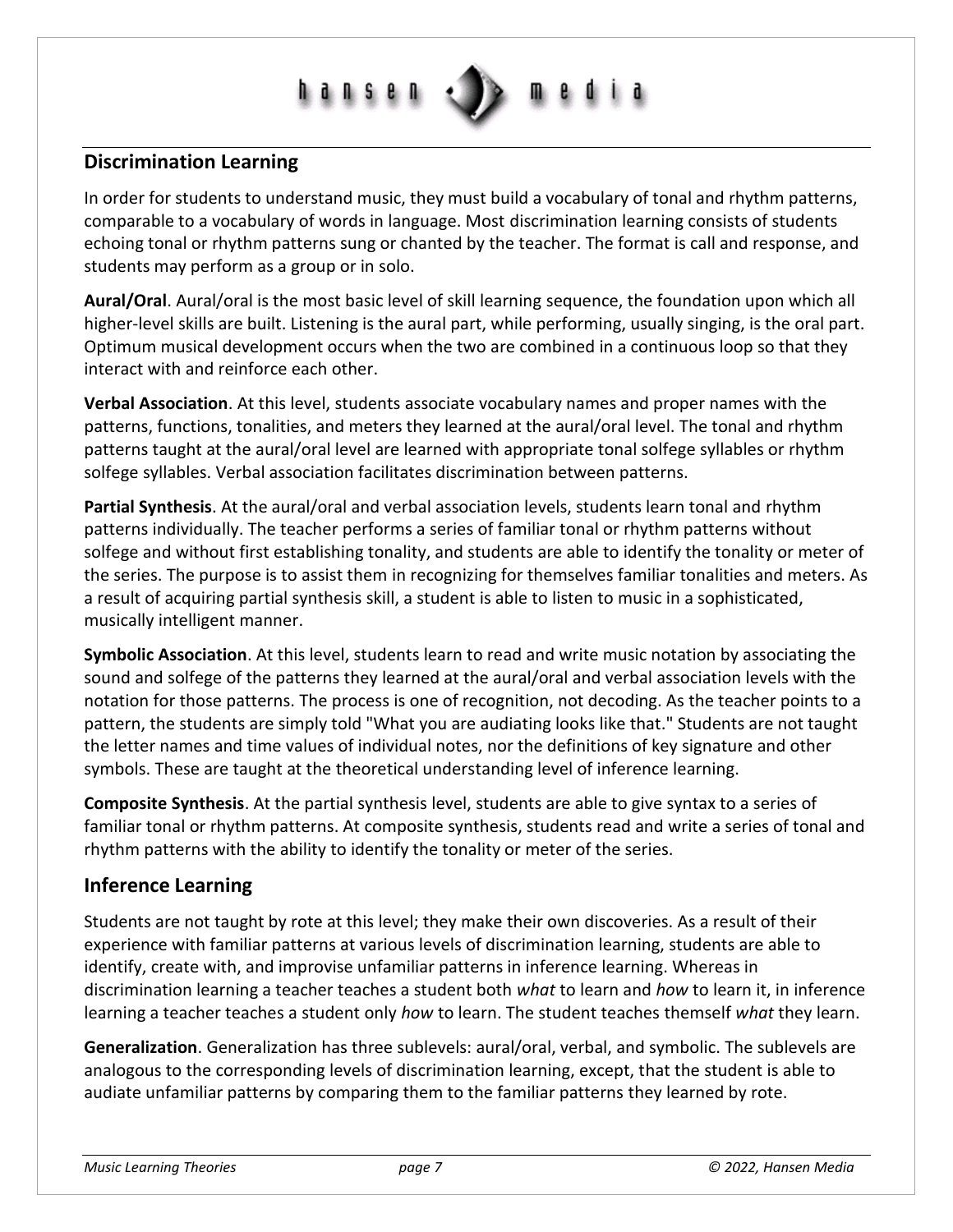# **d n s e n**

#### **Discrimination Learning**

In order for students to understand music, they must build a vocabulary of tonal and rhythm patterns, comparable to a vocabulary of words in language. Most discrimination learning consists of students echoing tonal or rhythm patterns sung or chanted by the teacher. The format is call and response, and students may perform as a group or in solo.

**Aural/Oral**. Aural/oral is the most basic level of skill learning sequence, the foundation upon which all higher-level skills are built. Listening is the aural part, while performing, usually singing, is the oral part. Optimum musical development occurs when the two are combined in a continuous loop so that they interact with and reinforce each other.

**Verbal Association**. At this level, students associate vocabulary names and proper names with the patterns, functions, tonalities, and meters they learned at the aural/oral level. The tonal and rhythm patterns taught at the aural/oral level are learned with appropriate tonal solfege syllables or rhythm solfege syllables. Verbal association facilitates discrimination between patterns.

**Partial Synthesis**. At the aural/oral and verbal association levels, students learn tonal and rhythm patterns individually. The teacher performs a series of familiar tonal or rhythm patterns without solfege and without first establishing tonality, and students are able to identify the tonality or meter of the series. The purpose is to assist them in recognizing for themselves familiar tonalities and meters. As a result of acquiring partial synthesis skill, a student is able to listen to music in a sophisticated, musically intelligent manner.

**Symbolic Association**. At this level, students learn to read and write music notation by associating the sound and solfege of the patterns they learned at the aural/oral and verbal association levels with the notation for those patterns. The process is one of recognition, not decoding. As the teacher points to a pattern, the students are simply told "What you are audiating looks like that." Students are not taught the letter names and time values of individual notes, nor the definitions of key signature and other symbols. These are taught at the theoretical understanding level of inference learning.

**Composite Synthesis**. At the partial synthesis level, students are able to give syntax to a series of familiar tonal or rhythm patterns. At composite synthesis, students read and write a series of tonal and rhythm patterns with the ability to identify the tonality or meter of the series.

#### **Inference Learning**

Students are not taught by rote at this level; they make their own discoveries. As a result of their experience with familiar patterns at various levels of discrimination learning, students are able to identify, create with, and improvise unfamiliar patterns in inference learning. Whereas in discrimination learning a teacher teaches a student both *what* to learn and *how* to learn it, in inference learning a teacher teaches a student only *how* to learn. The student teaches themself *what* they learn.

**Generalization**. Generalization has three sublevels: aural/oral, verbal, and symbolic. The sublevels are analogous to the corresponding levels of discrimination learning, except, that the student is able to audiate unfamiliar patterns by comparing them to the familiar patterns they learned by rote.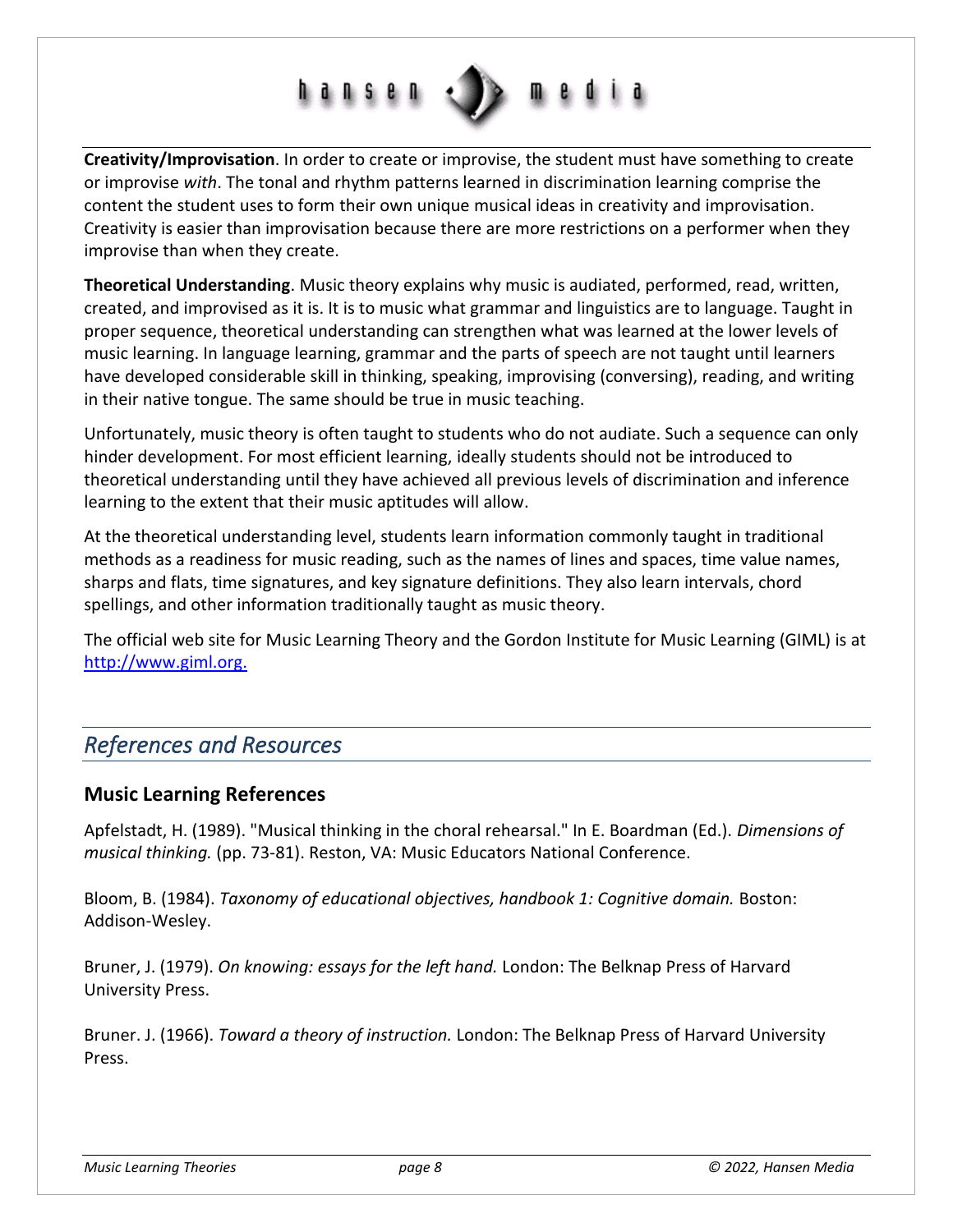

**Creativity/Improvisation**. In order to create or improvise, the student must have something to create or improvise *with*. The tonal and rhythm patterns learned in discrimination learning comprise the content the student uses to form their own unique musical ideas in creativity and improvisation. Creativity is easier than improvisation because there are more restrictions on a performer when they improvise than when they create.

**Theoretical Understanding**. Music theory explains why music is audiated, performed, read, written, created, and improvised as it is. It is to music what grammar and linguistics are to language. Taught in proper sequence, theoretical understanding can strengthen what was learned at the lower levels of music learning. In language learning, grammar and the parts of speech are not taught until learners have developed considerable skill in thinking, speaking, improvising (conversing), reading, and writing in their native tongue. The same should be true in music teaching.

Unfortunately, music theory is often taught to students who do not audiate. Such a sequence can only hinder development. For most efficient learning, ideally students should not be introduced to theoretical understanding until they have achieved all previous levels of discrimination and inference learning to the extent that their music aptitudes will allow.

At the theoretical understanding level, students learn information commonly taught in traditional methods as a readiness for music reading, such as the names of lines and spaces, time value names, sharps and flats, time signatures, and key signature definitions. They also learn intervals, chord spellings, and other information traditionally taught as music theory.

The official web site for Music Learning Theory and the Gordon Institute for Music Learning (GIML) is at [http://www.giml.org.](http://www.giml.org/)

## <span id="page-7-0"></span>*References and Resources*

#### **Music Learning References**

Apfelstadt, H. (1989). "Musical thinking in the choral rehearsal." In E. Boardman (Ed.). *Dimensions of musical thinking.* (pp. 73-81). Reston, VA: Music Educators National Conference.

Bloom, B. (1984). *Taxonomy of educational objectives, handbook 1: Cognitive domain.* Boston: Addison-Wesley.

Bruner, J. (1979). *On knowing: essays for the left hand.* London: The Belknap Press of Harvard University Press.

Bruner. J. (1966). *Toward a theory of instruction.* London: The Belknap Press of Harvard University Press.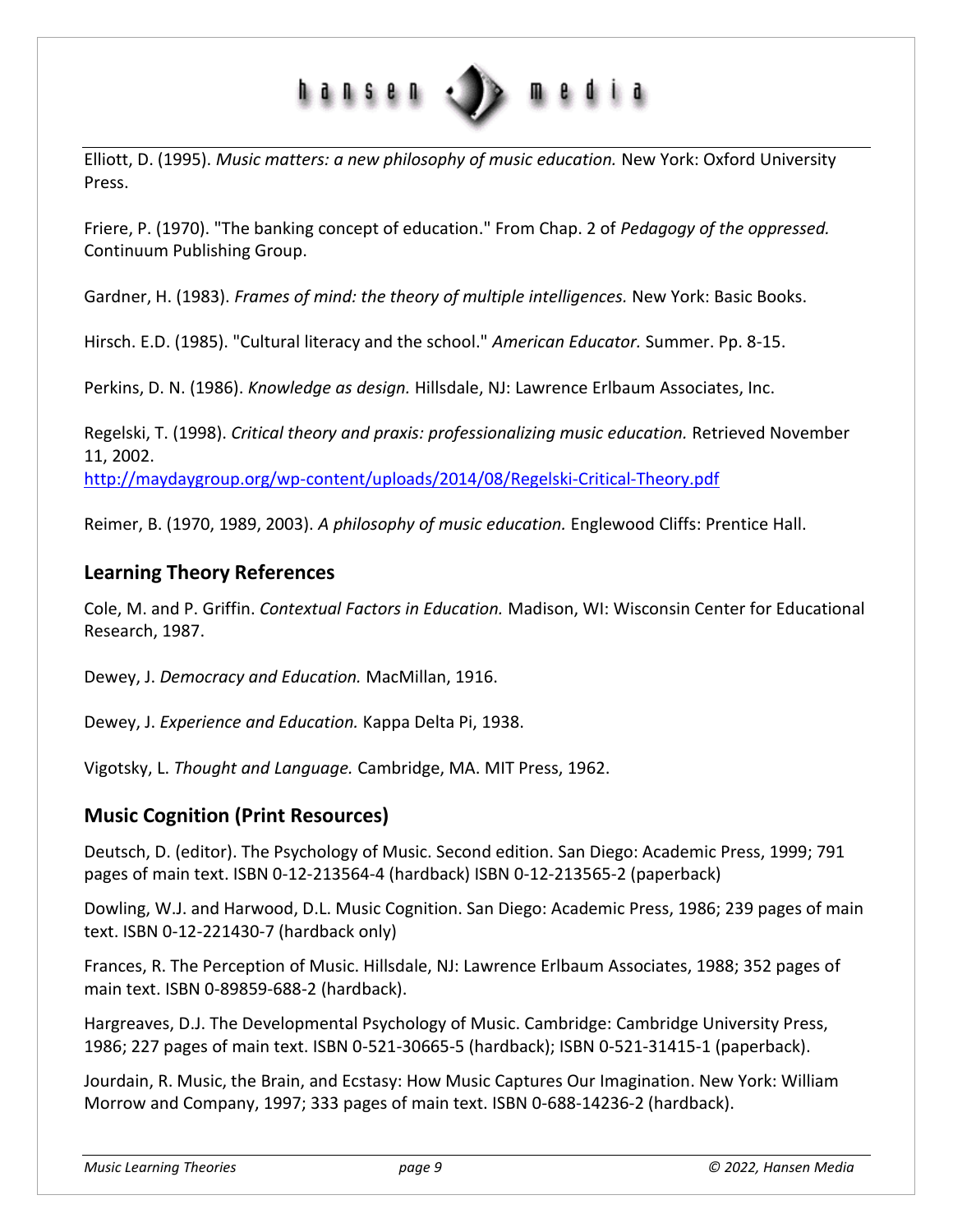

Elliott, D. (1995). *Music matters: a new philosophy of music education.* New York: Oxford University Press.

Friere, P. (1970). "The banking concept of education." From Chap. 2 of *Pedagogy of the oppressed.* Continuum Publishing Group.

Gardner, H. (1983). *Frames of mind: the theory of multiple intelligences.* New York: Basic Books.

Hirsch. E.D. (1985). "Cultural literacy and the school." *American Educator.* Summer. Pp. 8-15.

Perkins, D. N. (1986). *Knowledge as design.* Hillsdale, NJ: Lawrence Erlbaum Associates, Inc.

Regelski, T. (1998). *Critical theory and praxis: professionalizing music education.* Retrieved November 11, 2002. <http://maydaygroup.org/wp-content/uploads/2014/08/Regelski-Critical-Theory.pdf>

Reimer, B. (1970, 1989, 2003). *A philosophy of music education.* Englewood Cliffs: Prentice Hall.

#### **Learning Theory References**

Cole, M. and P. Griffin. *Contextual Factors in Education.* Madison, WI: Wisconsin Center for Educational Research, 1987.

Dewey, J. *Democracy and Education.* MacMillan, 1916.

Dewey, J. *Experience and Education.* Kappa Delta Pi, 1938.

Vigotsky, L. *Thought and Language.* Cambridge, MA. MIT Press, 1962.

#### **Music Cognition (Print Resources)**

Deutsch, D. (editor). The Psychology of Music. Second edition. San Diego: Academic Press, 1999; 791 pages of main text. ISBN 0-12-213564-4 (hardback) ISBN 0-12-213565-2 (paperback)

Dowling, W.J. and Harwood, D.L. Music Cognition. San Diego: Academic Press, 1986; 239 pages of main text. ISBN 0-12-221430-7 (hardback only)

Frances, R. The Perception of Music. Hillsdale, NJ: Lawrence Erlbaum Associates, 1988; 352 pages of main text. ISBN 0-89859-688-2 (hardback).

Hargreaves, D.J. The Developmental Psychology of Music. Cambridge: Cambridge University Press, 1986; 227 pages of main text. ISBN 0-521-30665-5 (hardback); ISBN 0-521-31415-1 (paperback).

Jourdain, R. Music, the Brain, and Ecstasy: How Music Captures Our Imagination. New York: William Morrow and Company, 1997; 333 pages of main text. ISBN 0-688-14236-2 (hardback).